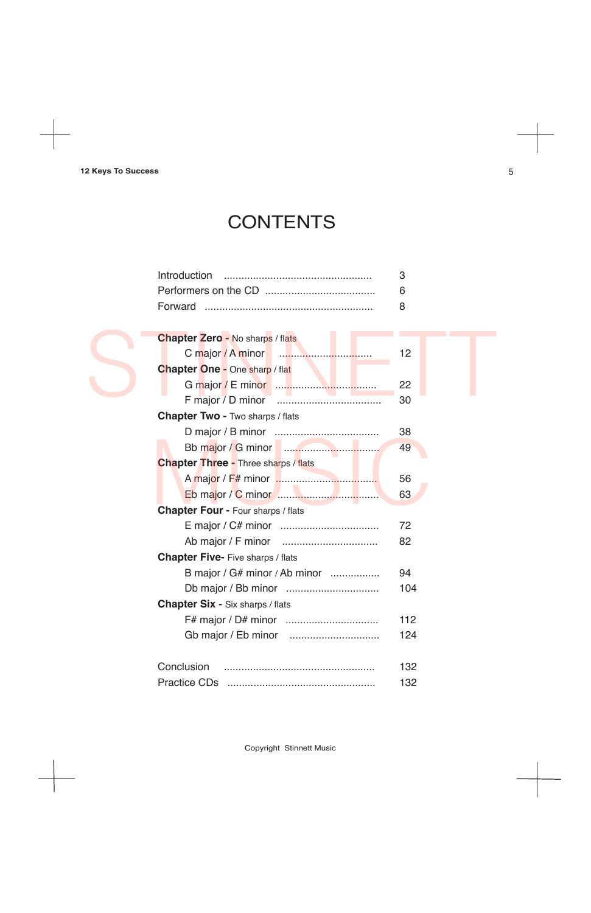## **CONTENTS**

Copyright Stinnett Music

| <b>Chapter Zero - No sharps / flats</b>       |     |
|-----------------------------------------------|-----|
| C major / A minor<br><b><i>Production</i></b> | 12  |
| <b>Chapter One - One sharp / flat</b>         |     |
|                                               | 22  |
|                                               | 30  |
| <b>Chapter Two - Two sharps / flats</b>       |     |
|                                               | 38  |
|                                               |     |
|                                               | 49  |
| <b>Chapter Three - Three sharps / flats</b>   |     |
|                                               | 56  |
|                                               | 63  |
| <b>Chapter Four - Four sharps / flats</b>     |     |
|                                               | 72  |
|                                               | 82  |
| <b>Chapter Five- Five sharps / flats</b>      |     |
| B major / G# minor / Ab minor                 | 94  |
|                                               | 104 |
| <b>Chapter Six - Six sharps / flats</b>       |     |
|                                               | 112 |
|                                               | 124 |
|                                               |     |
| Conclusion                                    | 132 |

### Practice CDs ................................................... 132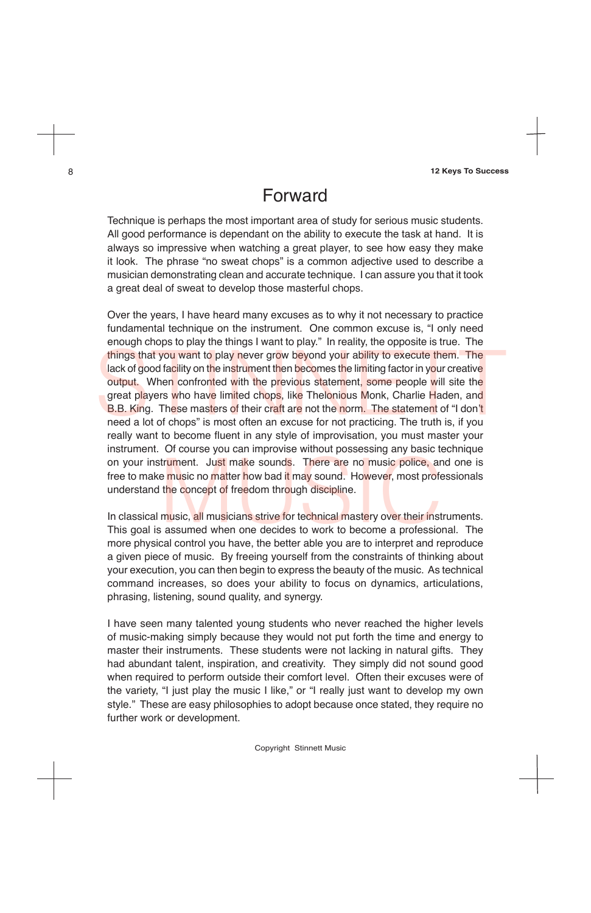Copyright Stinnett Music

### Forward

Over the years, I have heard many excuses as to why it not necessary to practice fundamental technique on the instrument. One common excuse is, "I only need enough chops to play the things I want to play." In reality, the opposite is true. The things that you want to play never grow beyond your ability to execute them. The lack of good facility on the instrument then becomes the limiting factor in your creative output. When confronted with the previous statement, some people will site the great players who have limited chops, like Thelonious Monk, Charlie Haden, and B.B. King. These masters of their craft are not the norm. The statement of "I don't need a lot of chops" is most often an excuse for not practicing. The truth is, if you really want to become fluent in any style of improvisation, you must master your instrument. Of course you can improvise without possessing any basic technique on your instrument. Just make sounds. There are no music police, and one is<br>
free to make music no matter how bad it may sound. However, most professionals<br>
understand the concept of freedom through discipline.<br>
In classic free to make music no matter how bad it may sound. However, most professionals understand the concept of freedom through discipline. things that you want to play never grow beyond your ability to execute them. The lack of good facility on the instrument then becomes the limiting factor in your creative orby to the orter or the previous statement, some p

Technique is perhaps the most important area of study for serious music students. All good performance is dependant on the ability to execute the task at hand. It is always so impressive when watching a great player, to see how easy they make it look. The phrase "no sweat chops" is a common adjective used to describe a musician demonstrating clean and accurate technique. I can assure you that it took a great deal of sweat to develop those masterful chops.

In classical music, all musicians strive for technical mastery over their instruments. This goal is assumed when one decides to work to become a professional. The more physical control you have, the better able you are to interpret and reproduce a given piece of music. By freeing yourself from the constraints of thinking about your execution, you can then begin to express the beauty of the music. As technical command increases, so does your ability to focus on dynamics, articulations, phrasing, listening, sound quality, and synergy.

I have seen many talented young students who never reached the higher levels of music-making simply because they would not put forth the time and energy to master their instruments. These students were not lacking in natural gifts. They had abundant talent, inspiration, and creativity. They simply did not sound good when required to perform outside their comfort level. Often their excuses were of the variety, "I just play the music I like," or "I really just want to develop my own style." These are easy philosophies to adopt because once stated, they require no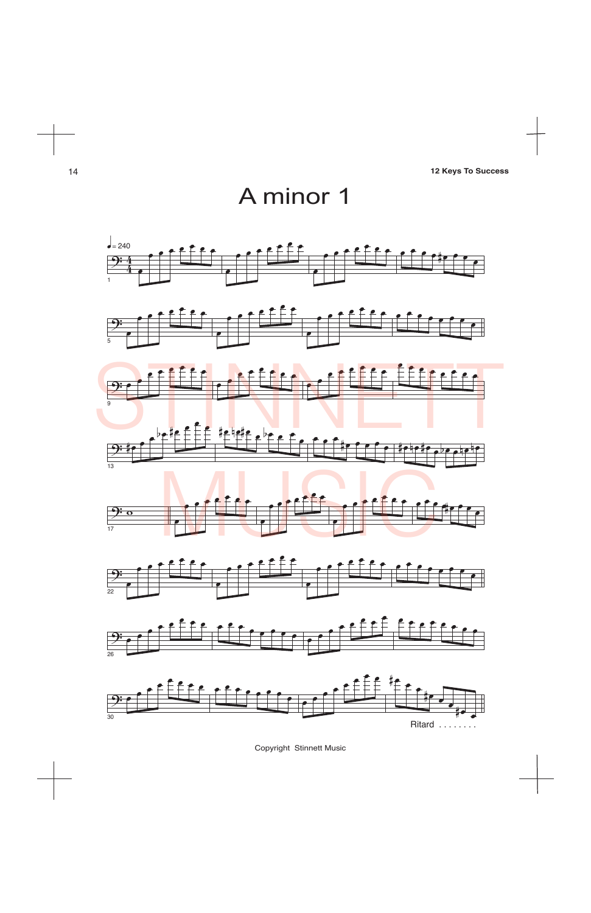



Copyright Stinnett Music



26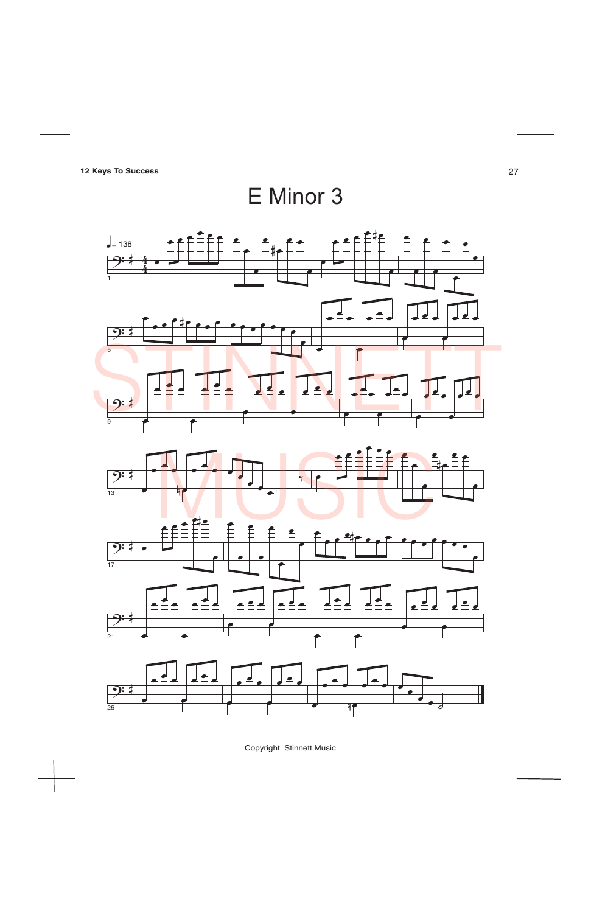Copyright Stinnett Music

# E Minor 3



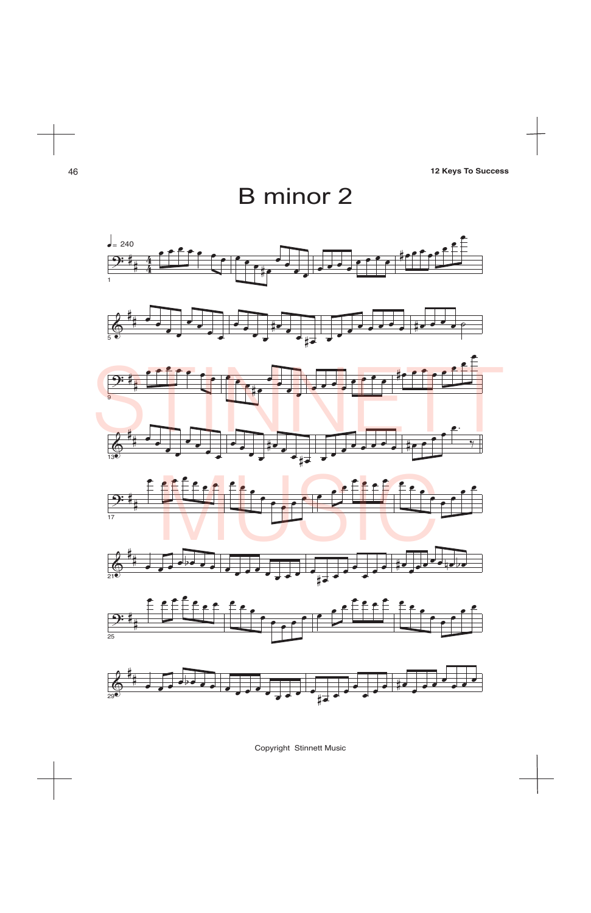Copyright Stinnett Music





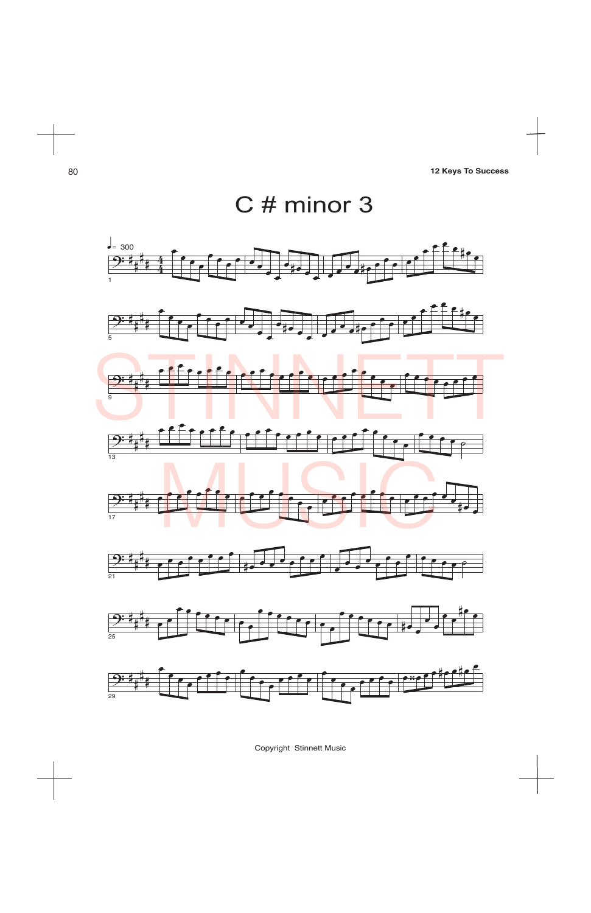Copyright Stinnett Music



œ œ

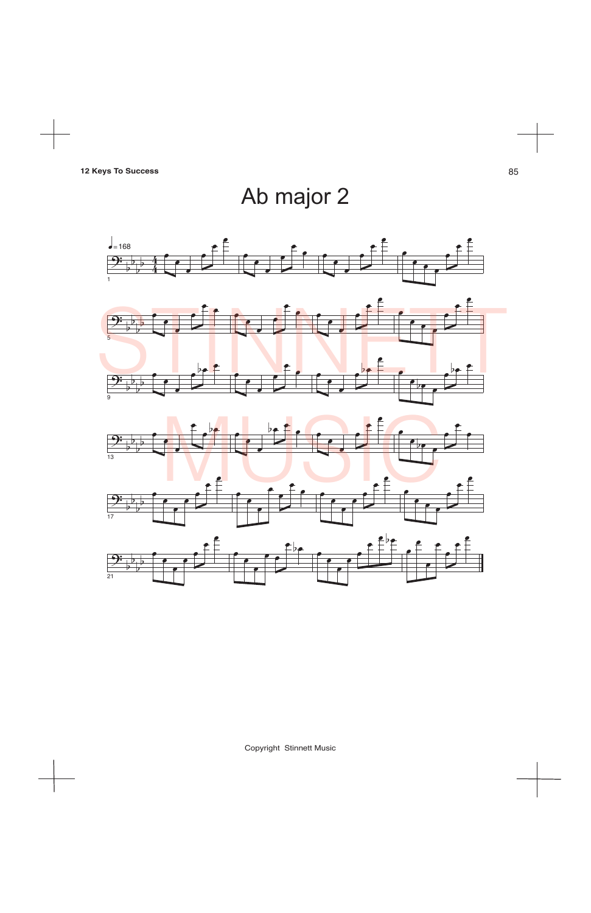Copyright Stinnett Music

Ab major 2



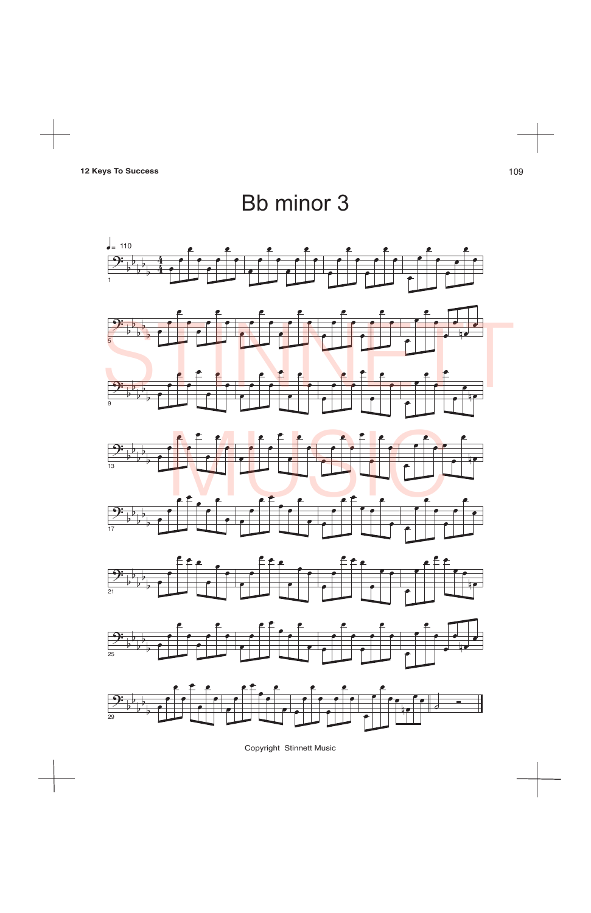Copyright Stinnett Music

**12 Keys To Success** 109

# Bb minor 3













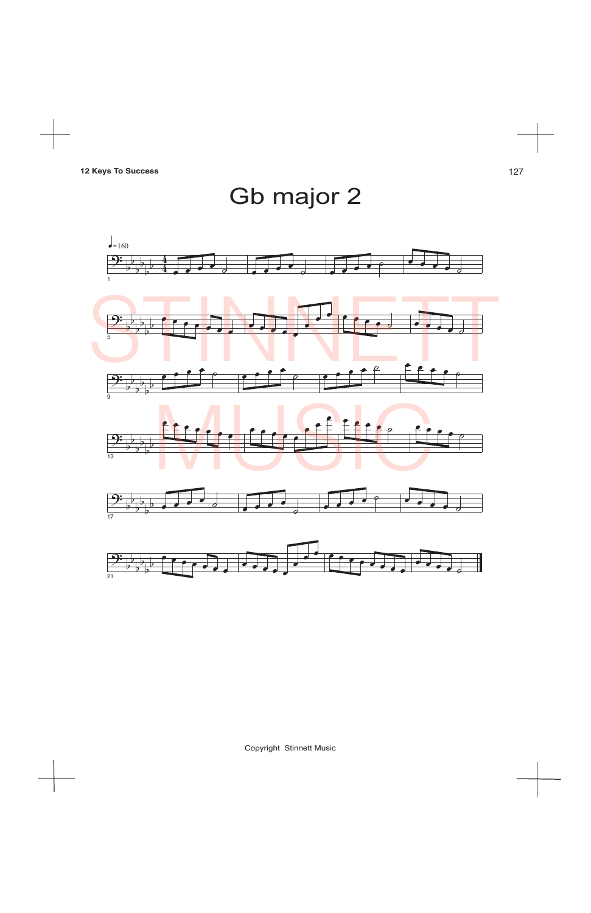Copyright Stinnett Music

Gb major 2

 $\frac{1}{\sqrt{1-\frac{1}{2}}}$ 160 4  $\frac{1}{2}$  $\overline{\mathcal{C}}$  $\overline{\rightarrow}$ b  $\frac{4}{2}$  $\frac{1}{\sqrt{2}}$  $\overline{\mathcal{O}}$  $\frac{1}{2}$ b 1 STINNETT e e e e e e e e e e e <sup>œ</sup> <sup>œ</sup> <sup>œ</sup> <sup>œ</sup> <sup>œ</sup> <sup>œ</sup> <sup>œ</sup> œ b  $\overline{\mathbf{P}}$ b b  $\overline{\mathbf{e}}$ œ b b 5  $e$   $e$   $e$   $e$   $e$   $e$   $e$   $e$   $e$  $e$   $e$   $e$   $e$ <sup>º</sup> <sup>œ</sup> <sup>œ</sup> <sup>œ</sup> <sup>œ</sup>  $\frac{\partial \cdot}{\partial \phi}$  $\frac{1}{2}$  $\frac{1}{2}$ b  $\frac{1}{2}$  $\frac{1}{2}$ 9 August Constitution e e e e e e e e <sup>œ</sup> <sup>œ</sup> <sup>œ</sup> <sup>œ</sup> <sup>œ</sup> <sup>œ</sup> <sup>œ</sup> œ  $\bullet$  e  $\bullet$ œ  $\overline{9}$  $\frac{1}{2}$ b  $\frac{1}{2}$  $\frac{1}{2}$ b  $\frac{1}{13}$  $\frac{\partial^2}{\partial t^2}$  $\overline{\mathcal{C}}$ b  $\overline{\phantom{a}}$ b  $\overline{\cdot}$ b  $\overline{\partial}$ b b  $\overline{\mathcal{C}}$ 17 <sup>œ</sup> <sup>œ</sup> <sup>œ</sup> <sup>œ</sup> <sup>œ</sup> <sup>œ</sup> <sup>œ</sup> <sup>œ</sup> <sup>œ</sup>  $\frac{\partial \cdot}{\partial \phi}$ <sup>œ</sup> <sup>œ</sup> <sup>œ</sup> <sup>œ</sup> <sup>œ</sup> <sup>œ</sup> <sup>œ</sup> œ  $\frac{1}{\sqrt{1}}$  $\frac{1}{2}$ b  $\overrightarrow{e}$ b <sup>œ</sup> <sup>œ</sup> <sup>œ</sup> <sup>œ</sup> <sup>œ</sup>  $\overline{\bullet}$  $\frac{1}{2}$  $\frac{1}{2}$ 21